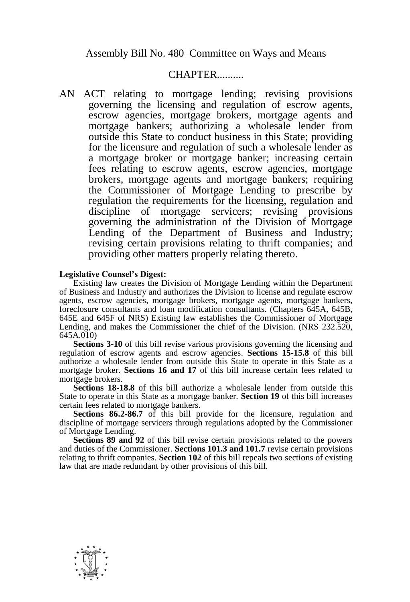Assembly Bill No. 480–Committee on Ways and Means

## **CHAPTER**

AN ACT relating to mortgage lending; revising provisions governing the licensing and regulation of escrow agents, escrow agencies, mortgage brokers, mortgage agents and mortgage bankers; authorizing a wholesale lender from outside this State to conduct business in this State; providing for the licensure and regulation of such a wholesale lender as a mortgage broker or mortgage banker; increasing certain fees relating to escrow agents, escrow agencies, mortgage brokers, mortgage agents and mortgage bankers; requiring the Commissioner of Mortgage Lending to prescribe by regulation the requirements for the licensing, regulation and discipline of mortgage servicers; revising provisions governing the administration of the Division of Mortgage Lending of the Department of Business and Industry; revising certain provisions relating to thrift companies; and providing other matters properly relating thereto.

## **Legislative Counsel's Digest:**

Existing law creates the Division of Mortgage Lending within the Department of Business and Industry and authorizes the Division to license and regulate escrow agents, escrow agencies, mortgage brokers, mortgage agents, mortgage bankers, foreclosure consultants and loan modification consultants. (Chapters 645A, 645B, 645E and 645F of NRS) Existing law establishes the Commissioner of Mortgage Lending, and makes the Commissioner the chief of the Division. (NRS 232.520, 645A.010)

**Sections 3-10** of this bill revise various provisions governing the licensing and regulation of escrow agents and escrow agencies. **Sections 15-15.8** of this bill authorize a wholesale lender from outside this State to operate in this State as a mortgage broker. **Sections 16 and 17** of this bill increase certain fees related to mortgage brokers.

**Sections 18-18.8** of this bill authorize a wholesale lender from outside this State to operate in this State as a mortgage banker. **Section 19** of this bill increases certain fees related to mortgage bankers.

**Sections 86.2-86.7** of this bill provide for the licensure, regulation and discipline of mortgage servicers through regulations adopted by the Commissioner of Mortgage Lending.

**Sections 89 and 92** of this bill revise certain provisions related to the powers and duties of the Commissioner. **Sections 101.3 and 101.7** revise certain provisions relating to thrift companies. **Section 102** of this bill repeals two sections of existing law that are made redundant by other provisions of this bill.

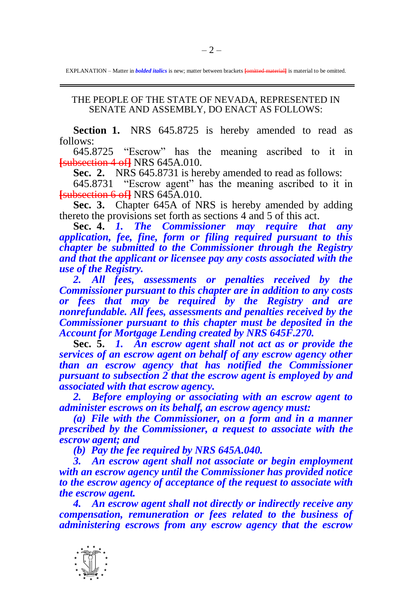EXPLANATION – Matter in *bolded italics* is new; matter between brackets **[**omitted material**]** is material to be omitted.

## THE PEOPLE OF THE STATE OF NEVADA, REPRESENTED IN SENATE AND ASSEMBLY, DO ENACT AS FOLLOWS:

**Section 1.** NRS 645.8725 is hereby amended to read as follows:

645.8725 "Escrow" has the meaning ascribed to it in **[**subsection 4 of**]** NRS 645A.010.

**Sec. 2.** NRS 645.8731 is hereby amended to read as follows:

645.8731 "Escrow agent" has the meaning ascribed to it in **[**subsection 6 of**]** NRS 645A.010.

**Sec. 3.** Chapter 645A of NRS is hereby amended by adding thereto the provisions set forth as sections 4 and 5 of this act.

**Sec. 4.** *1. The Commissioner may require that any application, fee, fine, form or filing required pursuant to this chapter be submitted to the Commissioner through the Registry and that the applicant or licensee pay any costs associated with the use of the Registry.*

*2. All fees, assessments or penalties received by the Commissioner pursuant to this chapter are in addition to any costs or fees that may be required by the Registry and are nonrefundable. All fees, assessments and penalties received by the Commissioner pursuant to this chapter must be deposited in the Account for Mortgage Lending created by NRS 645F.270.*

**Sec. 5.** *1. An escrow agent shall not act as or provide the services of an escrow agent on behalf of any escrow agency other than an escrow agency that has notified the Commissioner pursuant to subsection 2 that the escrow agent is employed by and associated with that escrow agency.*

*2. Before employing or associating with an escrow agent to administer escrows on its behalf, an escrow agency must:*

*(a) File with the Commissioner, on a form and in a manner prescribed by the Commissioner, a request to associate with the escrow agent; and*

*(b) Pay the fee required by NRS 645A.040.*

*3. An escrow agent shall not associate or begin employment with an escrow agency until the Commissioner has provided notice to the escrow agency of acceptance of the request to associate with the escrow agent.*

*4. An escrow agent shall not directly or indirectly receive any compensation, remuneration or fees related to the business of administering escrows from any escrow agency that the escrow* 

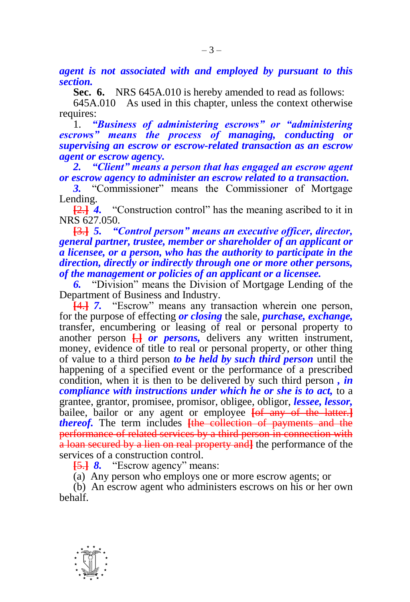*agent is not associated with and employed by pursuant to this section.*

**Sec. 6.** NRS 645A.010 is hereby amended to read as follows:

645A.010 As used in this chapter, unless the context otherwise requires:

1. *"Business of administering escrows" or "administering escrows" means the process of managing, conducting or supervising an escrow or escrow-related transaction as an escrow agent or escrow agency.*

*2. "Client" means a person that has engaged an escrow agent or escrow agency to administer an escrow related to a transaction.*

*3.* "Commissioner" means the Commissioner of Mortgage Lending.

**[**2.**]** *4.* "Construction control" has the meaning ascribed to it in NRS 627.050.<br>**E3.1 5.** "C

**[**3.**]** *5. "Control person" means an executive officer, director, general partner, trustee, member or shareholder of an applicant or a licensee, or a person, who has the authority to participate in the direction, directly or indirectly through one or more other persons, of the management or policies of an applicant or a licensee.*

*6.* "Division" means the Division of Mortgage Lending of the Department of Business and Industry.

**[**4.**]** *7.* "Escrow" means any transaction wherein one person, for the purpose of effecting *or closing* the sale, *purchase, exchange,*  transfer, encumbering or leasing of real or personal property to another person **[**,**]** *or persons,* delivers any written instrument, money, evidence of title to real or personal property, or other thing of value to a third person *to be held by such third person* until the happening of a specified event or the performance of a prescribed condition, when it is then to be delivered by such third person *, in compliance with instructions under which he or she is to act,* to a grantee, grantor, promisee, promisor, obligee, obligor, *lessee, lessor,*  bailee, bailor or any agent or employee **[of any of the latter.**] *thereof.* The term includes **[**the collection of payments and the performance of related services by a third person in connection with a loan secured by a lien on real property and**]** the performance of the services of a construction control.

**[**5.**]** *8.* "Escrow agency" means:

(a) Any person who employs one or more escrow agents; or

(b) An escrow agent who administers escrows on his or her own behalf.

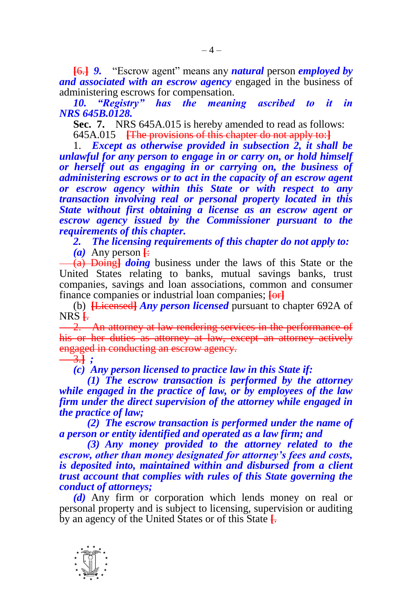**[**6.**]** *9.* "Escrow agent" means any *natural* person *employed by and associated with an escrow agency* engaged in the business of administering escrows for compensation.

*10. "Registry" has the meaning ascribed to it in NRS 645B.0128.*

**Sec. 7.** NRS 645A.015 is hereby amended to read as follows: 645A.015 **[**The provisions of this chapter do not apply to:**]**

1. *Except as otherwise provided in subsection 2, it shall be unlawful for any person to engage in or carry on, or hold himself or herself out as engaging in or carrying on, the business of administering escrows or to act in the capacity of an escrow agent or escrow agency within this State or with respect to any transaction involving real or personal property located in this State without first obtaining a license as an escrow agent or escrow agency issued by the Commissioner pursuant to the requirements of this chapter.*

*2. The licensing requirements of this chapter do not apply to:*

 $(a)$  Any person  $\overline{+}$ 

(a) Doing**]** *doing* business under the laws of this State or the United States relating to banks, mutual savings banks, trust companies, savings and loan associations, common and consumer finance companies or industrial loan companies; **[**or**]**

(b) **[**Licensed**]** *Any person licensed* pursuant to chapter 692A of NRS **[**.

2. An attorney at law rendering services in the performance of his or her duties as attorney at law, except an attorney actively engaged in conducting an escrow agency.

3.**]** *;*

*(c) Any person licensed to practice law in this State if:*

*(1) The escrow transaction is performed by the attorney while engaged in the practice of law, or by employees of the law firm under the direct supervision of the attorney while engaged in the practice of law;*

*(2) The escrow transaction is performed under the name of a person or entity identified and operated as a law firm; and*

*(3) Any money provided to the attorney related to the escrow, other than money designated for attorney's fees and costs, is deposited into, maintained within and disbursed from a client trust account that complies with rules of this State governing the conduct of attorneys;*

*(d)* Any firm or corporation which lends money on real or personal property and is subject to licensing, supervision or auditing by an agency of the United States or of this State **[**.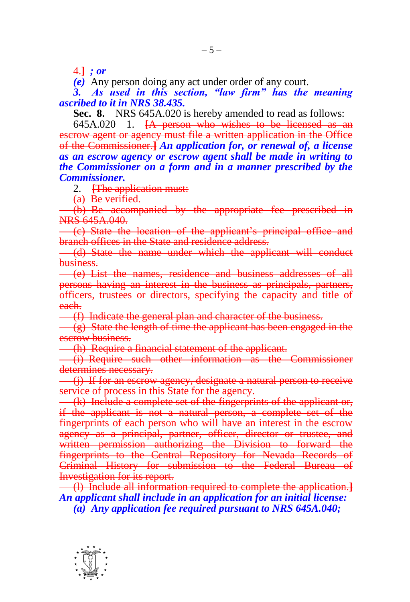4.**]** *; or*

*(e)* Any person doing any act under order of any court.

*3. As used in this section, "law firm" has the meaning ascribed to it in NRS 38.435.*

**Sec. 8.** NRS 645A.020 is hereby amended to read as follows:

645A.020 1. **[**A person who wishes to be licensed as an escrow agent or agency must file a written application in the Office of the Commissioner.**]** *An application for, or renewal of, a license as an escrow agency or escrow agent shall be made in writing to the Commissioner on a form and in a manner prescribed by the Commissioner.*

2. **[**The application must:

(a) Be verified.

(b) Be accompanied by the appropriate fee prescribed in NRS 645A.040.

(c) State the location of the applicant's principal office and branch offices in the State and residence address.

(d) State the name under which the applicant will conduct business.

(e) List the names, residence and business addresses of all persons having an interest in the business as principals, partners, officers, trustees or directors, specifying the capacity and title of each.

(f) Indicate the general plan and character of the business.

(g) State the length of time the applicant has been engaged in the escrow business.

(h) Require a financial statement of the applicant.

(i) Require such other information as the Commissioner determines necessary.

(j) If for an escrow agency, designate a natural person to receive service of process in this State for the agency.

(k) Include a complete set of the fingerprints of the applicant or, if the applicant is not a natural person, a complete set of the fingerprints of each person who will have an interest in the escrow agency as a principal, partner, officer, director or trustee, and written permission authorizing the Division to forward the fingerprints to the Central Repository for Nevada Records of Criminal History for submission to the Federal Bureau of Investigation for its report.

(l) Include all information required to complete the application.**]** *An applicant shall include in an application for an initial license: (a) Any application fee required pursuant to NRS 645A.040;*

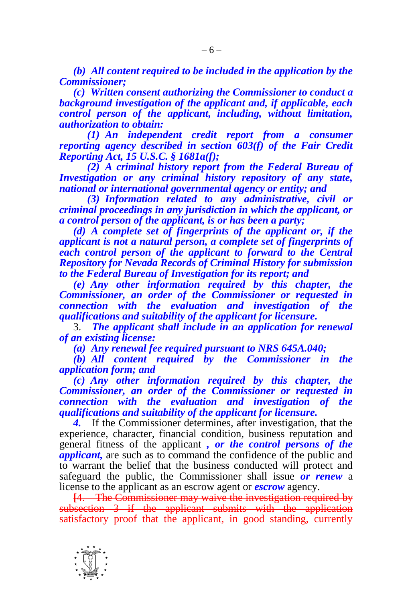*(b) All content required to be included in the application by the Commissioner;*

*(c) Written consent authorizing the Commissioner to conduct a background investigation of the applicant and, if applicable, each control person of the applicant, including, without limitation, authorization to obtain:*

*(1) An independent credit report from a consumer reporting agency described in section 603(f) of the Fair Credit Reporting Act, 15 U.S.C. § 1681a(f);*

*(2) A criminal history report from the Federal Bureau of Investigation or any criminal history repository of any state, national or international governmental agency or entity; and*

*(3) Information related to any administrative, civil or criminal proceedings in any jurisdiction in which the applicant, or a control person of the applicant, is or has been a party;*

*(d) A complete set of fingerprints of the applicant or, if the applicant is not a natural person, a complete set of fingerprints of each control person of the applicant to forward to the Central Repository for Nevada Records of Criminal History for submission to the Federal Bureau of Investigation for its report; and*

*(e) Any other information required by this chapter, the Commissioner, an order of the Commissioner or requested in connection with the evaluation and investigation of the qualifications and suitability of the applicant for licensure.*

3. *The applicant shall include in an application for renewal of an existing license:*

*(a) Any renewal fee required pursuant to NRS 645A.040;*

*(b) All content required by the Commissioner in the application form; and*

*(c) Any other information required by this chapter, the Commissioner, an order of the Commissioner or requested in connection with the evaluation and investigation of the qualifications and suitability of the applicant for licensure.*

*4.* If the Commissioner determines, after investigation, that the experience, character, financial condition, business reputation and general fitness of the applicant *, or the control persons of the applicant,* are such as to command the confidence of the public and to warrant the belief that the business conducted will protect and safeguard the public, the Commissioner shall issue *or renew* a license to the applicant as an escrow agent or *escrow* agency.

**[**4. The Commissioner may waive the investigation required by subsection 3 if the applicant submits with the application satisfactory proof that the applicant, in good standing, currently

-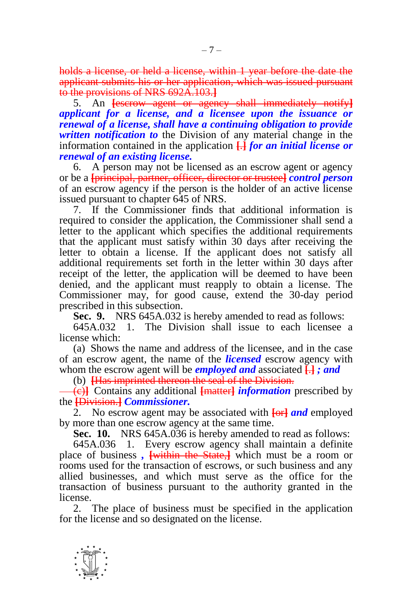holds a license, or held a license, within 1 year before the date the applicant submits his or her application, which was issued pursuant to the provisions of NRS 692A.103.**]**

5. An **[**escrow agent or agency shall immediately notify**]** *applicant for a license, and a licensee upon the issuance or renewal of a license, shall have a continuing obligation to provide written notification to* the Division of any material change in the information contained in the application **[**.**]** *for an initial license or renewal of an existing license.*

6. A person may not be licensed as an escrow agent or agency or be a **[**principal, partner, officer, director or trustee**]** *control person* of an escrow agency if the person is the holder of an active license issued pursuant to chapter 645 of NRS.

7. If the Commissioner finds that additional information is required to consider the application, the Commissioner shall send a letter to the applicant which specifies the additional requirements that the applicant must satisfy within 30 days after receiving the letter to obtain a license. If the applicant does not satisfy all additional requirements set forth in the letter within 30 days after receipt of the letter, the application will be deemed to have been denied, and the applicant must reapply to obtain a license. The Commissioner may, for good cause, extend the 30-day period prescribed in this subsection.

**Sec. 9.** NRS 645A.032 is hereby amended to read as follows:

645A.032 1. The Division shall issue to each licensee a license which:

(a) Shows the name and address of the licensee, and in the case of an escrow agent, the name of the *licensed* escrow agency with whom the escrow agent will be *employed and* associated **[**.**]** *; and*

(b) **[**Has imprinted thereon the seal of the Division.

(c)**]** Contains any additional **[**matter**]** *information* prescribed by the **[**Division.**]** *Commissioner.*

2. No escrow agent may be associated with **[**or**]** *and* employed by more than one escrow agency at the same time.

**Sec. 10.** NRS 645A.036 is hereby amended to read as follows:

645A.036 1. Every escrow agency shall maintain a definite place of business *,* **[**within the State,**]** which must be a room or rooms used for the transaction of escrows, or such business and any allied businesses, and which must serve as the office for the transaction of business pursuant to the authority granted in the license.

2. The place of business must be specified in the application for the license and so designated on the license.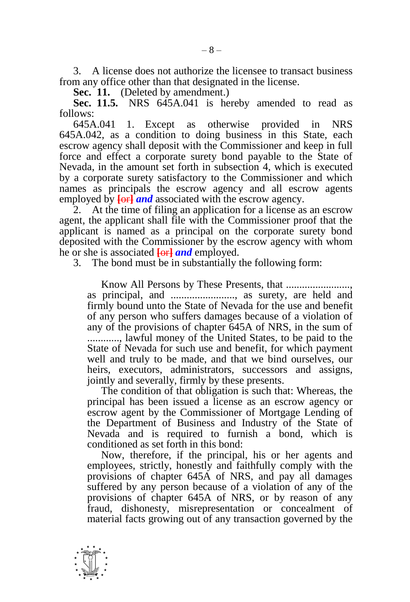3. A license does not authorize the licensee to transact business from any office other than that designated in the license.

**Sec. 11.** (Deleted by amendment.)

**Sec. 11.5.** NRS 645A.041 is hereby amended to read as follows:

645A.041 1. Except as otherwise provided in NRS 645A.042, as a condition to doing business in this State, each escrow agency shall deposit with the Commissioner and keep in full force and effect a corporate surety bond payable to the State of Nevada, in the amount set forth in subsection 4, which is executed by a corporate surety satisfactory to the Commissioner and which names as principals the escrow agency and all escrow agents employed by  $\overline{\text{for}}$  *and* associated with the escrow agency.

2. At the time of filing an application for a license as an escrow agent, the applicant shall file with the Commissioner proof that the applicant is named as a principal on the corporate surety bond deposited with the Commissioner by the escrow agency with whom he or she is associated **[**or**]** *and* employed.

3. The bond must be in substantially the following form:

Know All Persons by These Presents, that ........................, as principal, and ........................, as surety, are held and firmly bound unto the State of Nevada for the use and benefit of any person who suffers damages because of a violation of any of the provisions of chapter 645A of NRS, in the sum of ............, lawful money of the United States, to be paid to the State of Nevada for such use and benefit, for which payment well and truly to be made, and that we bind ourselves, our heirs, executors, administrators, successors and assigns, jointly and severally, firmly by these presents.

The condition of that obligation is such that: Whereas, the principal has been issued a license as an escrow agency or escrow agent by the Commissioner of Mortgage Lending of the Department of Business and Industry of the State of Nevada and is required to furnish a bond, which is conditioned as set forth in this bond:

Now, therefore, if the principal, his or her agents and employees, strictly, honestly and faithfully comply with the provisions of chapter 645A of NRS, and pay all damages suffered by any person because of a violation of any of the provisions of chapter 645A of NRS, or by reason of any fraud, dishonesty, misrepresentation or concealment of material facts growing out of any transaction governed by the

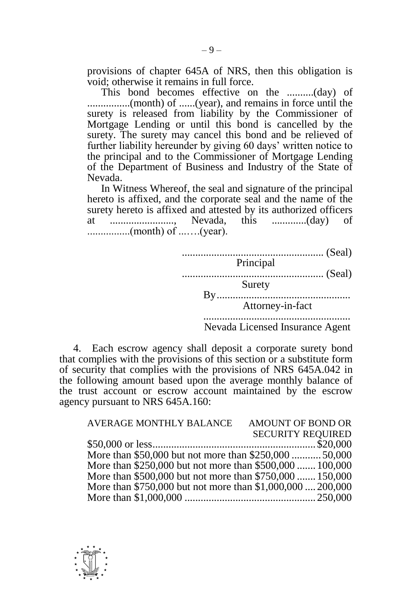provisions of chapter 645A of NRS, then this obligation is void; otherwise it remains in full force.

This bond becomes effective on the ..........(day) of ................(month) of ......(year), and remains in force until the surety is released from liability by the Commissioner of Mortgage Lending or until this bond is cancelled by the surety. The surety may cancel this bond and be relieved of further liability hereunder by giving 60 days' written notice to the principal and to the Commissioner of Mortgage Lending of the Department of Business and Industry of the State of Nevada.

In Witness Whereof, the seal and signature of the principal hereto is affixed, and the corporate seal and the name of the surety hereto is affixed and attested by its authorized officers at ........................, Nevada, this .............(day) of ................(month) of ...….(year).

| Principal                       |  |
|---------------------------------|--|
| (Seal)                          |  |
| Surety                          |  |
| Attorney-in-fact                |  |
| Nevada Licensed Insurance Agent |  |

4. Each escrow agency shall deposit a corporate surety bond that complies with the provisions of this section or a substitute form of security that complies with the provisions of NRS 645A.042 in the following amount based upon the average monthly balance of the trust account or escrow account maintained by the escrow

| AVERAGE MONTHLY BALANCE                                    | AMOUNT OF BOND OR        |
|------------------------------------------------------------|--------------------------|
|                                                            | <b>SECURITY REQUIRED</b> |
|                                                            |                          |
| More than \$50,000 but not more than \$250,000 50,000      |                          |
| More than \$250,000 but not more than \$500,000  100,000   |                          |
| More than \$500,000 but not more than \$750,000  150,000   |                          |
| More than \$750,000 but not more than \$1,000,000  200,000 |                          |
|                                                            |                          |



agency pursuant to NRS 645A.160: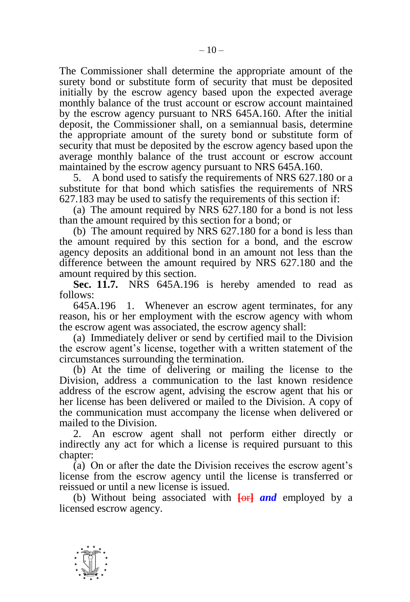The Commissioner shall determine the appropriate amount of the surety bond or substitute form of security that must be deposited initially by the escrow agency based upon the expected average monthly balance of the trust account or escrow account maintained by the escrow agency pursuant to NRS 645A.160. After the initial deposit, the Commissioner shall, on a semiannual basis, determine the appropriate amount of the surety bond or substitute form of security that must be deposited by the escrow agency based upon the average monthly balance of the trust account or escrow account maintained by the escrow agency pursuant to NRS 645A.160.

5. A bond used to satisfy the requirements of NRS 627.180 or a substitute for that bond which satisfies the requirements of NRS 627.183 may be used to satisfy the requirements of this section if:

(a) The amount required by NRS 627.180 for a bond is not less than the amount required by this section for a bond; or

(b) The amount required by NRS 627.180 for a bond is less than the amount required by this section for a bond, and the escrow agency deposits an additional bond in an amount not less than the difference between the amount required by NRS 627.180 and the amount required by this section.

**Sec. 11.7.** NRS 645A.196 is hereby amended to read as follows:

645A.196 1. Whenever an escrow agent terminates, for any reason, his or her employment with the escrow agency with whom the escrow agent was associated, the escrow agency shall:

(a) Immediately deliver or send by certified mail to the Division the escrow agent's license, together with a written statement of the circumstances surrounding the termination.

(b) At the time of delivering or mailing the license to the Division, address a communication to the last known residence address of the escrow agent, advising the escrow agent that his or her license has been delivered or mailed to the Division. A copy of the communication must accompany the license when delivered or mailed to the Division.

2. An escrow agent shall not perform either directly or indirectly any act for which a license is required pursuant to this chapter:

(a) On or after the date the Division receives the escrow agent's license from the escrow agency until the license is transferred or reissued or until a new license is issued.

(b) Without being associated with **[**or**]** *and* employed by a licensed escrow agency.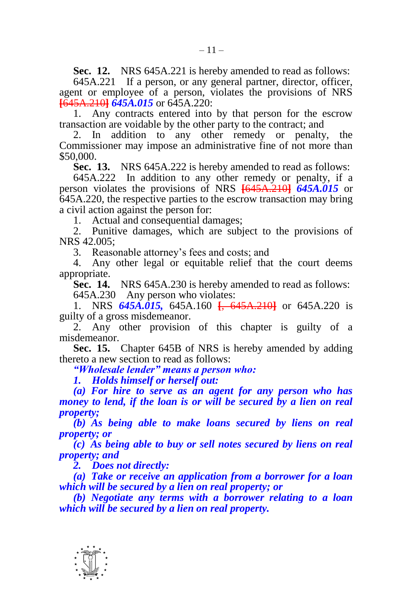**Sec. 12.** NRS 645A.221 is hereby amended to read as follows:

645A.221 If a person, or any general partner, director, officer, agent or employee of a person, violates the provisions of NRS **[**645A.210**]** *645A.015* or 645A.220:

1. Any contracts entered into by that person for the escrow transaction are voidable by the other party to the contract; and

2. In addition to any other remedy or penalty, the Commissioner may impose an administrative fine of not more than \$50,000.

**Sec. 13.** NRS 645A.222 is hereby amended to read as follows:

645A.222 In addition to any other remedy or penalty, if a person violates the provisions of NRS **[**645A.210**]** *645A.015* or 645A.220, the respective parties to the escrow transaction may bring a civil action against the person for:

1. Actual and consequential damages;

2. Punitive damages, which are subject to the provisions of NRS 42.005;

3. Reasonable attorney's fees and costs; and

4. Any other legal or equitable relief that the court deems appropriate.

**Sec. 14.** NRS 645A.230 is hereby amended to read as follows: 645A.230 Any person who violates:

1. NRS *645A.015,* 645A.160 **[**, 645A.210**]** or 645A.220 is guilty of a gross misdemeanor.

2. Any other provision of this chapter is guilty of a misdemeanor.

**Sec. 15.** Chapter 645B of NRS is hereby amended by adding thereto a new section to read as follows:

*"Wholesale lender" means a person who:*

*1. Holds himself or herself out:*

*(a) For hire to serve as an agent for any person who has money to lend, if the loan is or will be secured by a lien on real property;*

*(b) As being able to make loans secured by liens on real property; or*

*(c) As being able to buy or sell notes secured by liens on real property; and*

*2. Does not directly:*

*(a) Take or receive an application from a borrower for a loan which will be secured by a lien on real property; or*

*(b) Negotiate any terms with a borrower relating to a loan which will be secured by a lien on real property.*

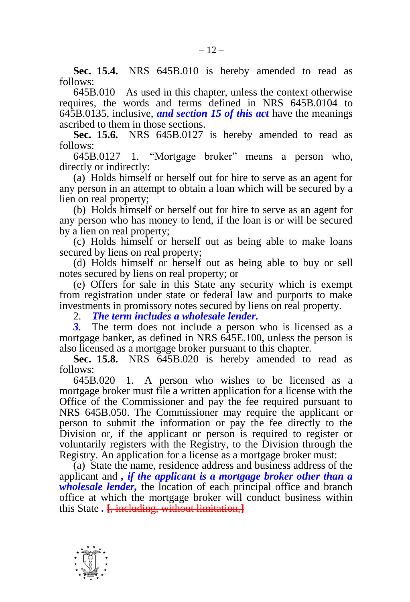**Sec. 15.4.** NRS 645B.010 is hereby amended to read as follows:

645B.010 As used in this chapter, unless the context otherwise requires, the words and terms defined in NRS 645B.0104 to 645B.0135, inclusive, *and section 15 of this act* have the meanings ascribed to them in those sections.

**Sec. 15.6.** NRS 645B.0127 is hereby amended to read as follows:

645B.0127 1. "Mortgage broker" means a person who, directly or indirectly:

(a) Holds himself or herself out for hire to serve as an agent for any person in an attempt to obtain a loan which will be secured by a lien on real property;

(b) Holds himself or herself out for hire to serve as an agent for any person who has money to lend, if the loan is or will be secured by a lien on real property;

(c) Holds himself or herself out as being able to make loans secured by liens on real property;

(d) Holds himself or herself out as being able to buy or sell notes secured by liens on real property; or

(e) Offers for sale in this State any security which is exempt from registration under state or federal law and purports to make investments in promissory notes secured by liens on real property.

2. *The term includes a wholesale lender.*

*3.* The term does not include a person who is licensed as a mortgage banker, as defined in NRS 645E.100, unless the person is also licensed as a mortgage broker pursuant to this chapter.

**Sec. 15.8.** NRS 645B.020 is hereby amended to read as follows:

645B.020 1. A person who wishes to be licensed as a mortgage broker must file a written application for a license with the Office of the Commissioner and pay the fee required pursuant to NRS 645B.050. The Commissioner may require the applicant or person to submit the information or pay the fee directly to the Division or, if the applicant or person is required to register or voluntarily registers with the Registry, to the Division through the Registry. An application for a license as a mortgage broker must:

(a) State the name, residence address and business address of the applicant and *, if the applicant is a mortgage broker other than a wholesale lender,* the location of each principal office and branch office at which the mortgage broker will conduct business within this State *.* **[**, including, without limitation,**]**

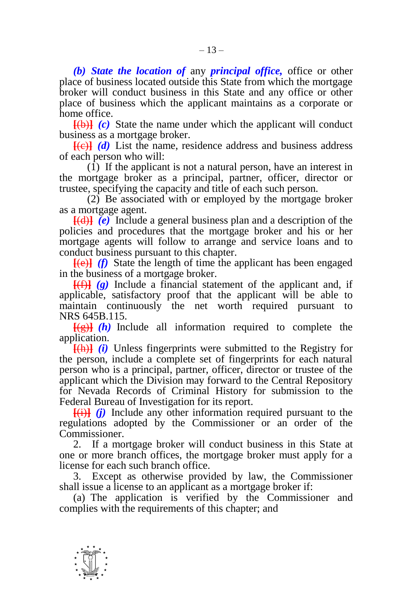*(b) State the location of* any *principal office,* office or other place of business located outside this State from which the mortgage broker will conduct business in this State and any office or other place of business which the applicant maintains as a corporate or home office.

**[**(b)**]** *(c)* State the name under which the applicant will conduct business as a mortgage broker.

**[**(c)**]** *(d)* List the name, residence address and business address of each person who will:

 $(\overline{1})$  If the applicant is not a natural person, have an interest in the mortgage broker as a principal, partner, officer, director or trustee, specifying the capacity and title of each such person.

(2) Be associated with or employed by the mortgage broker as a mortgage agent.

**[**(d)**]** *(e)* Include a general business plan and a description of the policies and procedures that the mortgage broker and his or her mortgage agents will follow to arrange and service loans and to conduct business pursuant to this chapter.

**[**(e)**]** *(f)* State the length of time the applicant has been engaged in the business of a mortgage broker.

**[**(f)**]** *(g)* Include a financial statement of the applicant and, if applicable, satisfactory proof that the applicant will be able to maintain continuously the net worth required pursuant to NRS 645B.115.

 $\frac{f(g)}{g(h)}$  Include all information required to complete the application.

**[**(h)**]** *(i)* Unless fingerprints were submitted to the Registry for the person, include a complete set of fingerprints for each natural person who is a principal, partner, officer, director or trustee of the applicant which the Division may forward to the Central Repository for Nevada Records of Criminal History for submission to the Federal Bureau of Investigation for its report.

**[**(i)**]** *(j)* Include any other information required pursuant to the regulations adopted by the Commissioner or an order of the Commissioner.

2. If a mortgage broker will conduct business in this State at one or more branch offices, the mortgage broker must apply for a license for each such branch office.

3. Except as otherwise provided by law, the Commissioner shall issue a license to an applicant as a mortgage broker if:

(a) The application is verified by the Commissioner and complies with the requirements of this chapter; and

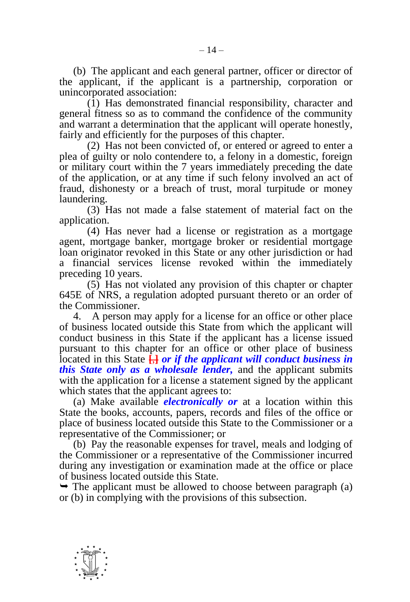(b) The applicant and each general partner, officer or director of the applicant, if the applicant is a partnership, corporation or unincorporated association:

(1) Has demonstrated financial responsibility, character and general fitness so as to command the confidence of the community and warrant a determination that the applicant will operate honestly, fairly and efficiently for the purposes of this chapter.

(2) Has not been convicted of, or entered or agreed to enter a plea of guilty or nolo contendere to, a felony in a domestic, foreign or military court within the 7 years immediately preceding the date of the application, or at any time if such felony involved an act of fraud, dishonesty or a breach of trust, moral turpitude or money laundering.

(3) Has not made a false statement of material fact on the application.

(4) Has never had a license or registration as a mortgage agent, mortgage banker, mortgage broker or residential mortgage loan originator revoked in this State or any other jurisdiction or had a financial services license revoked within the immediately preceding 10 years.

(5) Has not violated any provision of this chapter or chapter 645E of NRS, a regulation adopted pursuant thereto or an order of the Commissioner.

4. A person may apply for a license for an office or other place of business located outside this State from which the applicant will conduct business in this State if the applicant has a license issued pursuant to this chapter for an office or other place of business located in this State **[**,**]** *or if the applicant will conduct business in this State only as a wholesale lender,* and the applicant submits with the application for a license a statement signed by the applicant which states that the applicant agrees to:

(a) Make available *electronically or* at a location within this State the books, accounts, papers, records and files of the office or place of business located outside this State to the Commissioner or a representative of the Commissioner; or

(b) Pay the reasonable expenses for travel, meals and lodging of the Commissioner or a representative of the Commissioner incurred during any investigation or examination made at the office or place of business located outside this State.

 $\rightarrow$  The applicant must be allowed to choose between paragraph (a) or (b) in complying with the provisions of this subsection.

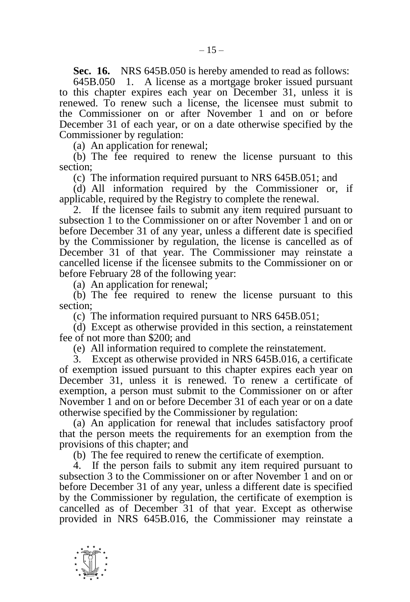**Sec. 16.** NRS 645B.050 is hereby amended to read as follows:

645B.050 1. A license as a mortgage broker issued pursuant to this chapter expires each year on December 31, unless it is renewed. To renew such a license, the licensee must submit to the Commissioner on or after November 1 and on or before December 31 of each year, or on a date otherwise specified by the Commissioner by regulation:

(a) An application for renewal;

(b) The fee required to renew the license pursuant to this section;

(c) The information required pursuant to NRS 645B.051; and

(d) All information required by the Commissioner or, if applicable, required by the Registry to complete the renewal.

2. If the licensee fails to submit any item required pursuant to subsection 1 to the Commissioner on or after November 1 and on or before December 31 of any year, unless a different date is specified by the Commissioner by regulation, the license is cancelled as of December 31 of that year. The Commissioner may reinstate a cancelled license if the licensee submits to the Commissioner on or before February 28 of the following year:

(a) An application for renewal;

(b) The fee required to renew the license pursuant to this section;

(c) The information required pursuant to NRS 645B.051;

(d) Except as otherwise provided in this section, a reinstatement fee of not more than \$200; and

(e) All information required to complete the reinstatement.

3. Except as otherwise provided in NRS 645B.016, a certificate of exemption issued pursuant to this chapter expires each year on December 31, unless it is renewed. To renew a certificate of exemption, a person must submit to the Commissioner on or after November 1 and on or before December 31 of each year or on a date otherwise specified by the Commissioner by regulation:

(a) An application for renewal that includes satisfactory proof that the person meets the requirements for an exemption from the provisions of this chapter; and

(b) The fee required to renew the certificate of exemption.

4. If the person fails to submit any item required pursuant to subsection 3 to the Commissioner on or after November 1 and on or before December 31 of any year, unless a different date is specified by the Commissioner by regulation, the certificate of exemption is cancelled as of December 31 of that year. Except as otherwise provided in NRS 645B.016, the Commissioner may reinstate a

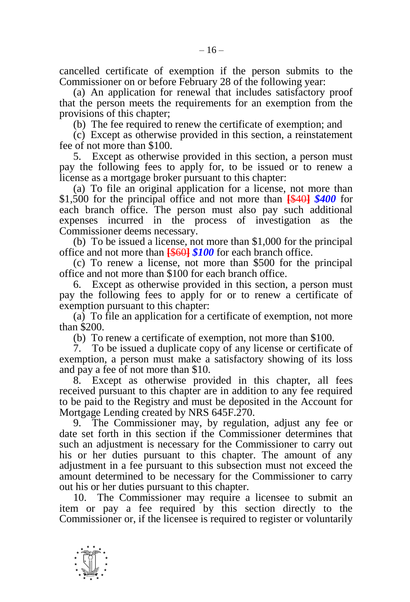(a) An application for renewal that includes satisfactory proof that the person meets the requirements for an exemption from the provisions of this chapter;

(b) The fee required to renew the certificate of exemption; and

(c) Except as otherwise provided in this section, a reinstatement fee of not more than \$100.

5. Except as otherwise provided in this section, a person must pay the following fees to apply for, to be issued or to renew a license as a mortgage broker pursuant to this chapter:

(a) To file an original application for a license, not more than \$1,500 for the principal office and not more than **[**\$40**]** *\$400* for each branch office. The person must also pay such additional expenses incurred in the process of investigation as the Commissioner deems necessary.

(b) To be issued a license, not more than \$1,000 for the principal office and not more than **[**\$60**]** *\$100* for each branch office.

(c) To renew a license, not more than \$500 for the principal office and not more than \$100 for each branch office.

6. Except as otherwise provided in this section, a person must pay the following fees to apply for or to renew a certificate of exemption pursuant to this chapter:

(a) To file an application for a certificate of exemption, not more than \$200.

(b) To renew a certificate of exemption, not more than \$100.

7. To be issued a duplicate copy of any license or certificate of exemption, a person must make a satisfactory showing of its loss and pay a fee of not more than \$10.

8. Except as otherwise provided in this chapter, all fees received pursuant to this chapter are in addition to any fee required to be paid to the Registry and must be deposited in the Account for Mortgage Lending created by NRS 645F.270.

9. The Commissioner may, by regulation, adjust any fee or date set forth in this section if the Commissioner determines that such an adjustment is necessary for the Commissioner to carry out his or her duties pursuant to this chapter. The amount of any adjustment in a fee pursuant to this subsection must not exceed the amount determined to be necessary for the Commissioner to carry out his or her duties pursuant to this chapter.

10. The Commissioner may require a licensee to submit an item or pay a fee required by this section directly to the Commissioner or, if the licensee is required to register or voluntarily

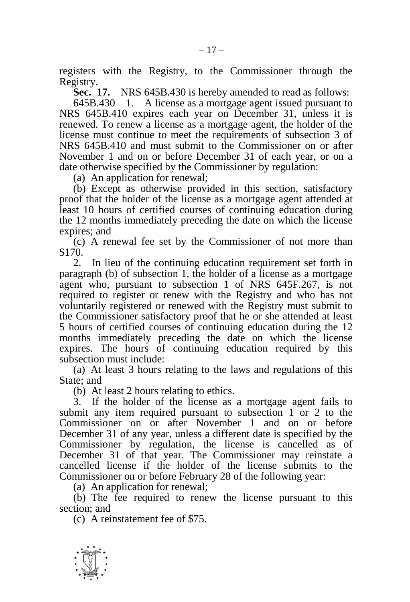registers with the Registry, to the Commissioner through the Registry.

**Sec. 17.** NRS 645B.430 is hereby amended to read as follows:

645B.430 1. A license as a mortgage agent issued pursuant to NRS 645B.410 expires each year on December 31, unless it is renewed. To renew a license as a mortgage agent, the holder of the license must continue to meet the requirements of subsection 3 of NRS 645B.410 and must submit to the Commissioner on or after November 1 and on or before December 31 of each year, or on a date otherwise specified by the Commissioner by regulation:

(a) An application for renewal;

(b) Except as otherwise provided in this section, satisfactory proof that the holder of the license as a mortgage agent attended at least 10 hours of certified courses of continuing education during the 12 months immediately preceding the date on which the license expires; and

(c) A renewal fee set by the Commissioner of not more than \$170.

2. In lieu of the continuing education requirement set forth in paragraph (b) of subsection 1, the holder of a license as a mortgage agent who, pursuant to subsection 1 of NRS 645F.267, is not required to register or renew with the Registry and who has not voluntarily registered or renewed with the Registry must submit to the Commissioner satisfactory proof that he or she attended at least 5 hours of certified courses of continuing education during the 12 months immediately preceding the date on which the license expires. The hours of continuing education required by this subsection must include:

(a) At least 3 hours relating to the laws and regulations of this State; and

(b) At least 2 hours relating to ethics.

3. If the holder of the license as a mortgage agent fails to submit any item required pursuant to subsection 1 or 2 to the Commissioner on or after November 1 and on or before December 31 of any year, unless a different date is specified by the Commissioner by regulation, the license is cancelled as of December 31 of that year. The Commissioner may reinstate a cancelled license if the holder of the license submits to the Commissioner on or before February 28 of the following year:

(a) An application for renewal;

(b) The fee required to renew the license pursuant to this section; and

(c) A reinstatement fee of \$75.

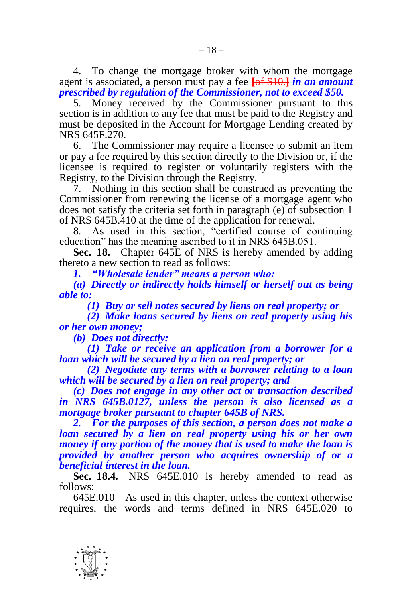4. To change the mortgage broker with whom the mortgage agent is associated, a person must pay a fee **[**of \$10.**]** *in an amount prescribed by regulation of the Commissioner, not to exceed \$50.*

5. Money received by the Commissioner pursuant to this section is in addition to any fee that must be paid to the Registry and must be deposited in the Account for Mortgage Lending created by NRS 645F.270.

6. The Commissioner may require a licensee to submit an item or pay a fee required by this section directly to the Division or, if the licensee is required to register or voluntarily registers with the Registry, to the Division through the Registry.

7. Nothing in this section shall be construed as preventing the Commissioner from renewing the license of a mortgage agent who does not satisfy the criteria set forth in paragraph (e) of subsection 1 of NRS 645B.410 at the time of the application for renewal.

8. As used in this section, "certified course of continuing education" has the meaning ascribed to it in NRS 645B.051.

**Sec. 18.** Chapter 645E of NRS is hereby amended by adding thereto a new section to read as follows:

*1. "Wholesale lender" means a person who:*

*(a) Directly or indirectly holds himself or herself out as being able to:*

*(1) Buy or sell notes secured by liens on real property; or*

*(2) Make loans secured by liens on real property using his or her own money;* 

*(b) Does not directly:*

*(1) Take or receive an application from a borrower for a loan which will be secured by a lien on real property; or*

*(2) Negotiate any terms with a borrower relating to a loan which will be secured by a lien on real property; and*

*(c) Does not engage in any other act or transaction described in NRS 645B.0127, unless the person is also licensed as a mortgage broker pursuant to chapter 645B of NRS.*

*2. For the purposes of this section, a person does not make a loan secured by a lien on real property using his or her own money if any portion of the money that is used to make the loan is provided by another person who acquires ownership of or a beneficial interest in the loan.*

**Sec. 18.4.** NRS 645E.010 is hereby amended to read as follows:

645E.010 As used in this chapter, unless the context otherwise requires, the words and terms defined in NRS 645E.020 to

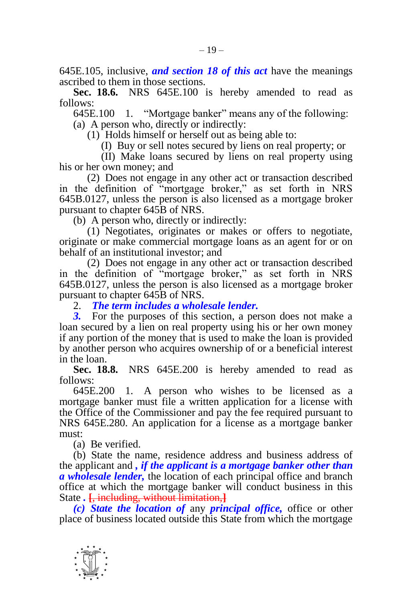645E.105, inclusive, *and section 18 of this act* have the meanings ascribed to them in those sections.

**Sec. 18.6.** NRS 645E.100 is hereby amended to read as  $f_0$ llows:

645E.100 1. "Mortgage banker" means any of the following: (a) A person who, directly or indirectly:

(1) Holds himself or herself out as being able to:

(I) Buy or sell notes secured by liens on real property; or

(II) Make loans secured by liens on real property using his or her own money; and

(2) Does not engage in any other act or transaction described in the definition of "mortgage broker," as set forth in NRS 645B.0127, unless the person is also licensed as a mortgage broker pursuant to chapter 645B of NRS.

(b) A person who, directly or indirectly:

(1) Negotiates, originates or makes or offers to negotiate, originate or make commercial mortgage loans as an agent for or on behalf of an institutional investor; and

(2) Does not engage in any other act or transaction described in the definition of "mortgage broker," as set forth in NRS 645B.0127, unless the person is also licensed as a mortgage broker pursuant to chapter 645B of NRS.

2. *The term includes a wholesale lender.*

For the purposes of this section, a person does not make a loan secured by a lien on real property using his or her own money if any portion of the money that is used to make the loan is provided by another person who acquires ownership of or a beneficial interest in the loan.

**Sec. 18.8.** NRS 645E.200 is hereby amended to read as follows:

645E.200 1. A person who wishes to be licensed as a mortgage banker must file a written application for a license with the Office of the Commissioner and pay the fee required pursuant to NRS 645E.280. An application for a license as a mortgage banker must:

(a) Be verified.

(b) State the name, residence address and business address of the applicant and *, if the applicant is a mortgage banker other than a wholesale lender,* the location of each principal office and branch office at which the mortgage banker will conduct business in this State *.* **[**, including, without limitation,**]**

*(c) State the location of* any *principal office,* office or other place of business located outside this State from which the mortgage

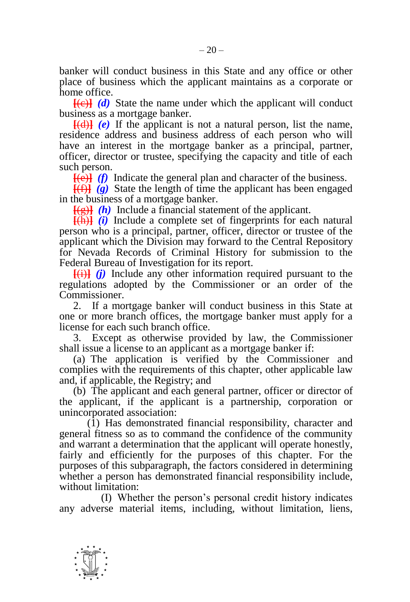banker will conduct business in this State and any office or other place of business which the applicant maintains as a corporate or home office.

 $[Fe]$  *(d)* State the name under which the applicant will conduct business as a mortgage banker.

 $[$ (d) $]$  (e) If the applicant is not a natural person, list the name, residence address and business address of each person who will have an interest in the mortgage banker as a principal, partner, officer, director or trustee, specifying the capacity and title of each such person.

**[**(e)**]** *(f)* Indicate the general plan and character of the business.

**[**(f)**]** *(g)* State the length of time the applicant has been engaged in the business of a mortgage banker.

 $\frac{f(g)}{g(h)}$  Include a financial statement of the applicant.

**[**(h)**]** *(i)* Include a complete set of fingerprints for each natural person who is a principal, partner, officer, director or trustee of the applicant which the Division may forward to the Central Repository for Nevada Records of Criminal History for submission to the Federal Bureau of Investigation for its report.

**[**(i)**]** *(j)* Include any other information required pursuant to the regulations adopted by the Commissioner or an order of the Commissioner.

2. If a mortgage banker will conduct business in this State at one or more branch offices, the mortgage banker must apply for a license for each such branch office.

3. Except as otherwise provided by law, the Commissioner shall issue a license to an applicant as a mortgage banker if:

(a) The application is verified by the Commissioner and complies with the requirements of this chapter, other applicable law and, if applicable, the Registry; and

(b) The applicant and each general partner, officer or director of the applicant, if the applicant is a partnership, corporation or unincorporated association:

(1) Has demonstrated financial responsibility, character and general fitness so as to command the confidence of the community and warrant a determination that the applicant will operate honestly, fairly and efficiently for the purposes of this chapter. For the purposes of this subparagraph, the factors considered in determining whether a person has demonstrated financial responsibility include, without limitation:

(I) Whether the person's personal credit history indicates any adverse material items, including, without limitation, liens,

-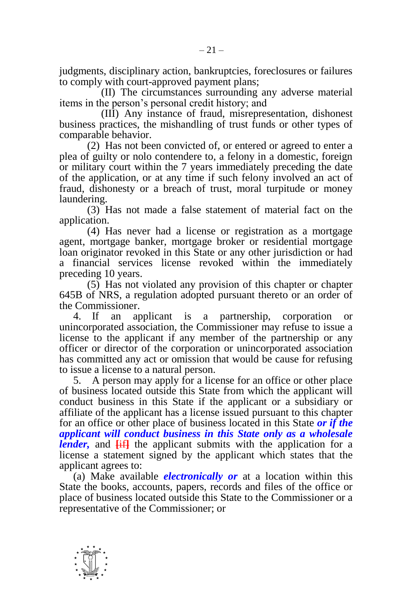judgments, disciplinary action, bankruptcies, foreclosures or failures to comply with court-approved payment plans;

(II) The circumstances surrounding any adverse material items in the person's personal credit history; and

(III) Any instance of fraud, misrepresentation, dishonest business practices, the mishandling of trust funds or other types of comparable behavior.

(2) Has not been convicted of, or entered or agreed to enter a plea of guilty or nolo contendere to, a felony in a domestic, foreign or military court within the 7 years immediately preceding the date of the application, or at any time if such felony involved an act of fraud, dishonesty or a breach of trust, moral turpitude or money laundering.

(3) Has not made a false statement of material fact on the application.

(4) Has never had a license or registration as a mortgage agent, mortgage banker, mortgage broker or residential mortgage loan originator revoked in this State or any other jurisdiction or had a financial services license revoked within the immediately preceding 10 years.

(5) Has not violated any provision of this chapter or chapter 645B of NRS, a regulation adopted pursuant thereto or an order of the Commissioner.

4. If an applicant is a partnership, corporation or unincorporated association, the Commissioner may refuse to issue a license to the applicant if any member of the partnership or any officer or director of the corporation or unincorporated association has committed any act or omission that would be cause for refusing to issue a license to a natural person.

5. A person may apply for a license for an office or other place of business located outside this State from which the applicant will conduct business in this State if the applicant or a subsidiary or affiliate of the applicant has a license issued pursuant to this chapter for an office or other place of business located in this State *or if the applicant will conduct business in this State only as a wholesale lender*, and  $\overline{iii}$  the applicant submits with the application for a license a statement signed by the applicant which states that the applicant agrees to:

(a) Make available *electronically or* at a location within this State the books, accounts, papers, records and files of the office or place of business located outside this State to the Commissioner or a representative of the Commissioner; or

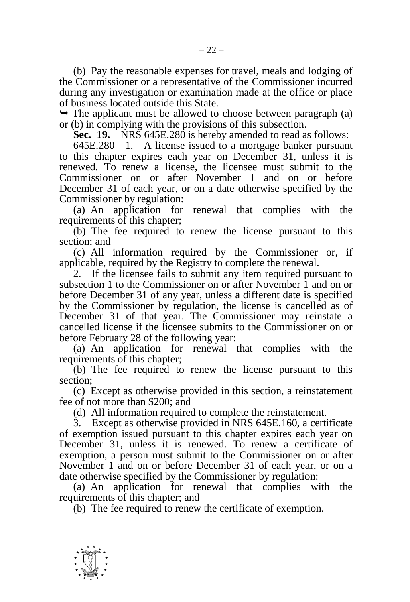(b) Pay the reasonable expenses for travel, meals and lodging of the Commissioner or a representative of the Commissioner incurred during any investigation or examination made at the office or place of business located outside this State.

 $\rightarrow$  The applicant must be allowed to choose between paragraph (a) or (b) in complying with the provisions of this subsection.

**Sec. 19.** NRS 645E.280 is hereby amended to read as follows:

645E.280 1. A license issued to a mortgage banker pursuant to this chapter expires each year on December 31, unless it is renewed. To renew a license, the licensee must submit to the Commissioner on or after November 1 and on or before December 31 of each year, or on a date otherwise specified by the Commissioner by regulation:

(a) An application for renewal that complies with the requirements of this chapter;

(b) The fee required to renew the license pursuant to this section; and

(c) All information required by the Commissioner or, if applicable, required by the Registry to complete the renewal.

2. If the licensee fails to submit any item required pursuant to subsection 1 to the Commissioner on or after November 1 and on or before December 31 of any year, unless a different date is specified by the Commissioner by regulation, the license is cancelled as of December 31 of that year. The Commissioner may reinstate a cancelled license if the licensee submits to the Commissioner on or before February 28 of the following year:

(a) An application for renewal that complies with the requirements of this chapter;

(b) The fee required to renew the license pursuant to this section;

(c) Except as otherwise provided in this section, a reinstatement fee of not more than \$200; and

(d) All information required to complete the reinstatement.

3. Except as otherwise provided in NRS 645E.160, a certificate of exemption issued pursuant to this chapter expires each year on December 31, unless it is renewed. To renew a certificate of exemption, a person must submit to the Commissioner on or after November 1 and on or before December 31 of each year, or on a date otherwise specified by the Commissioner by regulation:

(a) An application for renewal that complies with the requirements of this chapter; and

(b) The fee required to renew the certificate of exemption.

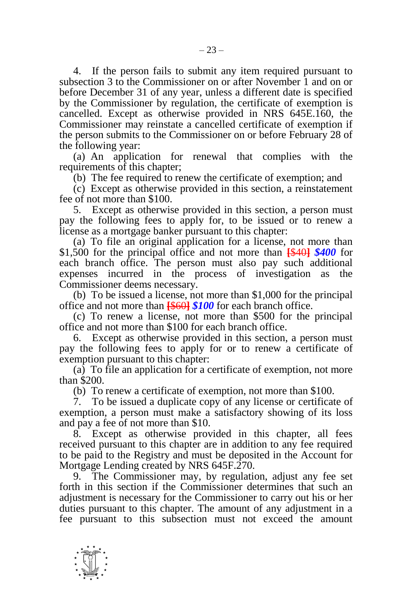4. If the person fails to submit any item required pursuant to subsection 3 to the Commissioner on or after November 1 and on or before December 31 of any year, unless a different date is specified by the Commissioner by regulation, the certificate of exemption is cancelled. Except as otherwise provided in NRS 645E.160, the Commissioner may reinstate a cancelled certificate of exemption if the person submits to the Commissioner on or before February 28 of the following year:

(a) An application for renewal that complies with the requirements of this chapter;

(b) The fee required to renew the certificate of exemption; and

(c) Except as otherwise provided in this section, a reinstatement fee of not more than \$100.

5. Except as otherwise provided in this section, a person must pay the following fees to apply for, to be issued or to renew a license as a mortgage banker pursuant to this chapter:

(a) To file an original application for a license, not more than \$1,500 for the principal office and not more than **[**\$40**]** *\$400* for each branch office. The person must also pay such additional expenses incurred in the process of investigation as the Commissioner deems necessary.

(b) To be issued a license, not more than \$1,000 for the principal office and not more than **[**\$60**]** *\$100* for each branch office.

(c) To renew a license, not more than \$500 for the principal office and not more than \$100 for each branch office.

6. Except as otherwise provided in this section, a person must pay the following fees to apply for or to renew a certificate of exemption pursuant to this chapter:

(a) To file an application for a certificate of exemption, not more than \$200.

(b) To renew a certificate of exemption, not more than \$100.

7. To be issued a duplicate copy of any license or certificate of exemption, a person must make a satisfactory showing of its loss and pay a fee of not more than \$10.

8. Except as otherwise provided in this chapter, all fees received pursuant to this chapter are in addition to any fee required to be paid to the Registry and must be deposited in the Account for Mortgage Lending created by NRS 645F.270.

9. The Commissioner may, by regulation, adjust any fee set forth in this section if the Commissioner determines that such an adjustment is necessary for the Commissioner to carry out his or her duties pursuant to this chapter. The amount of any adjustment in a fee pursuant to this subsection must not exceed the amount

-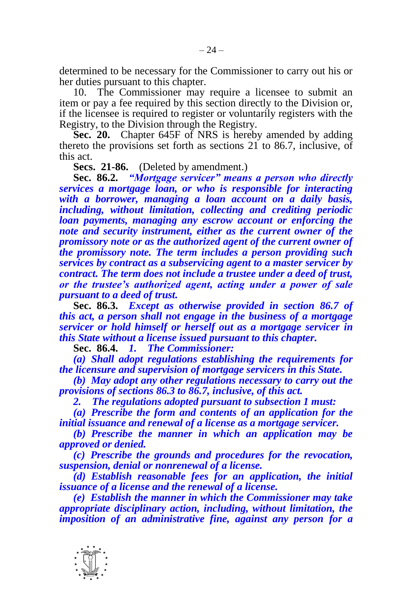determined to be necessary for the Commissioner to carry out his or her duties pursuant to this chapter.

10. The Commissioner may require a licensee to submit an item or pay a fee required by this section directly to the Division or, if the licensee is required to register or voluntarily registers with the Registry, to the Division through the Registry.

**Sec. 20.** Chapter 645F of NRS is hereby amended by adding thereto the provisions set forth as sections 21 to 86.7, inclusive, of this act.

**Secs. 21-86.** (Deleted by amendment.)

**Sec. 86.2.** *"Mortgage servicer" means a person who directly services a mortgage loan, or who is responsible for interacting with a borrower, managing a loan account on a daily basis, including, without limitation, collecting and crediting periodic loan payments, managing any escrow account or enforcing the note and security instrument, either as the current owner of the promissory note or as the authorized agent of the current owner of the promissory note. The term includes a person providing such services by contract as a subservicing agent to a master servicer by contract. The term does not include a trustee under a deed of trust, or the trustee's authorized agent, acting under a power of sale pursuant to a deed of trust.*

**Sec. 86.3.** *Except as otherwise provided in section 86.7 of this act, a person shall not engage in the business of a mortgage servicer or hold himself or herself out as a mortgage servicer in this State without a license issued pursuant to this chapter.*

**Sec. 86.4.** *1. The Commissioner:*

*(a) Shall adopt regulations establishing the requirements for the licensure and supervision of mortgage servicers in this State.*

*(b) May adopt any other regulations necessary to carry out the provisions of sections 86.3 to 86.7, inclusive, of this act.*

*2. The regulations adopted pursuant to subsection 1 must:*

*(a) Prescribe the form and contents of an application for the initial issuance and renewal of a license as a mortgage servicer.*

*(b) Prescribe the manner in which an application may be approved or denied.*

*(c) Prescribe the grounds and procedures for the revocation, suspension, denial or nonrenewal of a license.*

*(d) Establish reasonable fees for an application, the initial issuance of a license and the renewal of a license.*

*(e) Establish the manner in which the Commissioner may take appropriate disciplinary action, including, without limitation, the imposition of an administrative fine, against any person for a* 

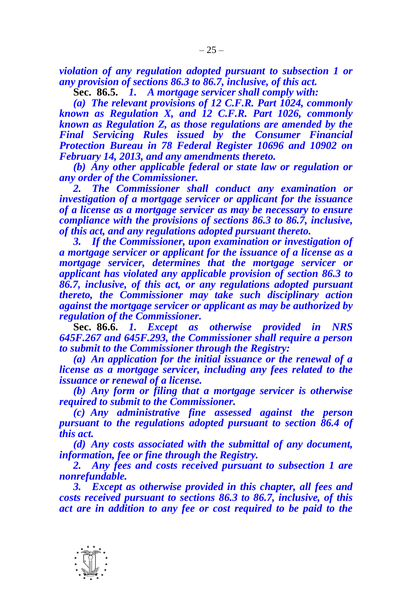*violation of any regulation adopted pursuant to subsection 1 or any provision of sections 86.3 to 86.7, inclusive, of this act.*

**Sec. 86.5.** *1. A mortgage servicer shall comply with:*

*(a) The relevant provisions of 12 C.F.R. Part 1024, commonly known as Regulation X, and 12 C.F.R. Part 1026, commonly known as Regulation Z, as those regulations are amended by the Final Servicing Rules issued by the Consumer Financial Protection Bureau in 78 Federal Register 10696 and 10902 on February 14, 2013, and any amendments thereto.*

*(b) Any other applicable federal or state law or regulation or any order of the Commissioner.*

*2. The Commissioner shall conduct any examination or investigation of a mortgage servicer or applicant for the issuance of a license as a mortgage servicer as may be necessary to ensure compliance with the provisions of sections 86.3 to 86.7, inclusive, of this act, and any regulations adopted pursuant thereto.*

*3. If the Commissioner, upon examination or investigation of a mortgage servicer or applicant for the issuance of a license as a mortgage servicer, determines that the mortgage servicer or applicant has violated any applicable provision of section 86.3 to 86.7, inclusive, of this act, or any regulations adopted pursuant thereto, the Commissioner may take such disciplinary action against the mortgage servicer or applicant as may be authorized by regulation of the Commissioner.*

**Sec. 86.6.** *1. Except as otherwise provided in NRS 645F.267 and 645F.293, the Commissioner shall require a person to submit to the Commissioner through the Registry:*

*(a) An application for the initial issuance or the renewal of a license as a mortgage servicer, including any fees related to the issuance or renewal of a license.*

*(b) Any form or filing that a mortgage servicer is otherwise required to submit to the Commissioner.*

*(c) Any administrative fine assessed against the person pursuant to the regulations adopted pursuant to section 86.4 of this act.*

*(d) Any costs associated with the submittal of any document, information, fee or fine through the Registry.*

*2. Any fees and costs received pursuant to subsection 1 are nonrefundable.* 

*3. Except as otherwise provided in this chapter, all fees and costs received pursuant to sections 86.3 to 86.7, inclusive, of this act are in addition to any fee or cost required to be paid to the*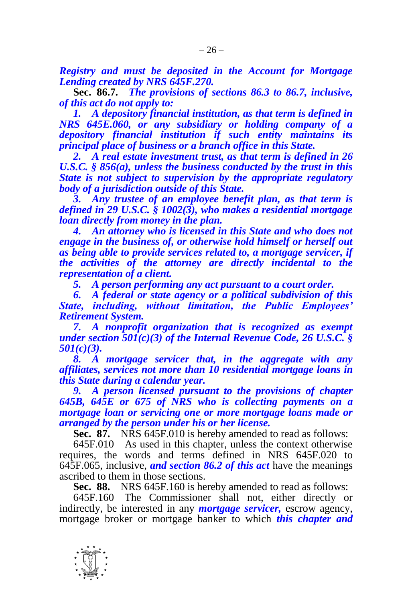*Registry and must be deposited in the Account for Mortgage Lending created by NRS 645F.270.*

**Sec. 86.7.** *The provisions of sections 86.3 to 86.7, inclusive, of this act do not apply to:*

*1. A depository financial institution, as that term is defined in NRS 645E.060, or any subsidiary or holding company of a depository financial institution if such entity maintains its principal place of business or a branch office in this State.*

*2. A real estate investment trust, as that term is defined in 26 U.S.C. § 856(a), unless the business conducted by the trust in this State is not subject to supervision by the appropriate regulatory body of a jurisdiction outside of this State.*

*3. Any trustee of an employee benefit plan, as that term is defined in 29 U.S.C. § 1002(3), who makes a residential mortgage loan directly from money in the plan.*

*4. An attorney who is licensed in this State and who does not engage in the business of, or otherwise hold himself or herself out as being able to provide services related to, a mortgage servicer, if the activities of the attorney are directly incidental to the representation of a client.*

*5. A person performing any act pursuant to a court order.*

*6. A federal or state agency or a political subdivision of this State, including, without limitation, the Public Employees' Retirement System.*

*7. A nonprofit organization that is recognized as exempt under section 501(c)(3) of the Internal Revenue Code, 26 U.S.C. § 501(c)(3).*

*8. A mortgage servicer that, in the aggregate with any affiliates, services not more than 10 residential mortgage loans in this State during a calendar year.*

*9. A person licensed pursuant to the provisions of chapter 645B, 645E or 675 of NRS who is collecting payments on a mortgage loan or servicing one or more mortgage loans made or arranged by the person under his or her license.*

**Sec. 87.** NRS 645F.010 is hereby amended to read as follows:

645F.010 As used in this chapter, unless the context otherwise requires, the words and terms defined in NRS 645F.020 to 645F.065, inclusive, *and section 86.2 of this act* have the meanings ascribed to them in those sections.

**Sec. 88.** NRS 645F.160 is hereby amended to read as follows:

645F.160 The Commissioner shall not, either directly or indirectly, be interested in any *mortgage servicer,* escrow agency, mortgage broker or mortgage banker to which *this chapter and*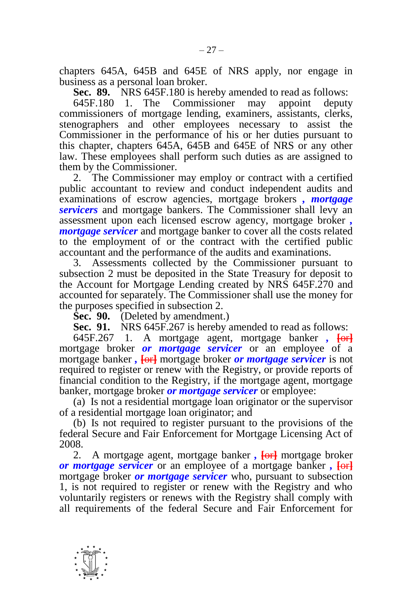chapters 645A, 645B and 645E of NRS apply, nor engage in business as a personal loan broker.

**Sec. 89.** NRS 645F.180 is hereby amended to read as follows:

645F.180 1. The Commissioner may appoint deputy commissioners of mortgage lending, examiners, assistants, clerks, stenographers and other employees necessary to assist the Commissioner in the performance of his or her duties pursuant to this chapter, chapters 645A, 645B and 645E of NRS or any other law. These employees shall perform such duties as are assigned to them by the Commissioner.

2. The Commissioner may employ or contract with a certified public accountant to review and conduct independent audits and examinations of escrow agencies, mortgage brokers *, mortgage servicers* and mortgage bankers. The Commissioner shall levy an assessment upon each licensed escrow agency, mortgage broker *, mortgage servicer* and mortgage banker to cover all the costs related to the employment of or the contract with the certified public accountant and the performance of the audits and examinations.

3. Assessments collected by the Commissioner pursuant to subsection 2 must be deposited in the State Treasury for deposit to the Account for Mortgage Lending created by NRS 645F.270 and accounted for separately. The Commissioner shall use the money for the purposes specified in subsection 2.

**Sec. 90.** (Deleted by amendment.)

**Sec. 91.** NRS 645F.267 is hereby amended to read as follows:

645F.267 1. A mortgage agent, mortgage banker *,* **[**or**]** mortgage broker *or mortgage servicer* or an employee of a mortgage banker *,* **[**or**]** mortgage broker *or mortgage servicer* is not required to register or renew with the Registry, or provide reports of financial condition to the Registry, if the mortgage agent, mortgage banker, mortgage broker *or mortgage servicer* or employee:

(a) Is not a residential mortgage loan originator or the supervisor of a residential mortgage loan originator; and

(b) Is not required to register pursuant to the provisions of the federal Secure and Fair Enforcement for Mortgage Licensing Act of 2008.

2. A mortgage agent, mortgage banker *,* **[**or**]** mortgage broker *or mortgage servicer* or an employee of a mortgage banker *,* **[**or**]** mortgage broker *or mortgage servicer* who, pursuant to subsection 1, is not required to register or renew with the Registry and who voluntarily registers or renews with the Registry shall comply with all requirements of the federal Secure and Fair Enforcement for

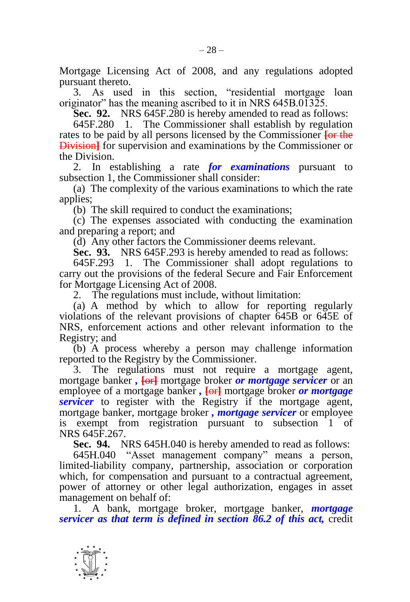Mortgage Licensing Act of 2008, and any regulations adopted pursuant thereto.

3. As used in this section, "residential mortgage loan originator" has the meaning ascribed to it in NRS 645B.01325.

**Sec. 92.** NRS 645F.280 is hereby amended to read as follows:

645F.280 1. The Commissioner shall establish by regulation rates to be paid by all persons licensed by the Commissioner **[**or the **Division** for supervision and examinations by the Commissioner or the Division.

2. In establishing a rate *for examinations* pursuant to subsection 1, the Commissioner shall consider:

(a) The complexity of the various examinations to which the rate applies;

(b) The skill required to conduct the examinations;

(c) The expenses associated with conducting the examination and preparing a report; and

(d) Any other factors the Commissioner deems relevant.

**Sec. 93.** NRS 645F.293 is hereby amended to read as follows:

645F.293 1. The Commissioner shall adopt regulations to carry out the provisions of the federal Secure and Fair Enforcement for Mortgage Licensing Act of 2008.

2. The regulations must include, without limitation:

(a) A method by which to allow for reporting regularly violations of the relevant provisions of chapter 645B or 645E of NRS, enforcement actions and other relevant information to the Registry; and

(b) A process whereby a person may challenge information reported to the Registry by the Commissioner.

3. The regulations must not require a mortgage agent, mortgage banker *,* **[**or**]** mortgage broker *or mortgage servicer* or an employee of a mortgage banker *,* **[**or**]** mortgage broker *or mortgage servicer* to register with the Registry if the mortgage agent, mortgage banker, mortgage broker *, mortgage servicer* or employee is exempt from registration pursuant to subsection 1 of NRS 645F.267.

**Sec. 94.** NRS 645H.040 is hereby amended to read as follows:

645H.040 "Asset management company" means a person, limited-liability company, partnership, association or corporation which, for compensation and pursuant to a contractual agreement, power of attorney or other legal authorization, engages in asset management on behalf of:

1. A bank, mortgage broker, mortgage banker, *mortgage servicer as that term is defined in section 86.2 of this act,* credit

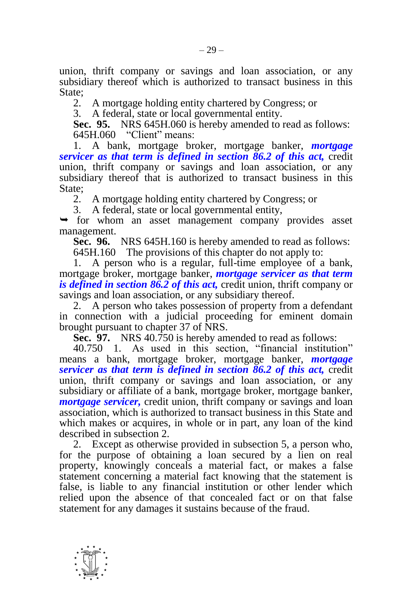union, thrift company or savings and loan association, or any subsidiary thereof which is authorized to transact business in this State;

2. A mortgage holding entity chartered by Congress; or

3. A federal, state or local governmental entity.

**Sec. 95.** NRS 645H.060 is hereby amended to read as follows: 645H.060 "Client" means:

1. A bank, mortgage broker, mortgage banker, *mortgage servicer as that term is defined in section 86.2 of this act,* credit union, thrift company or savings and loan association, or any subsidiary thereof that is authorized to transact business in this State;

2. A mortgage holding entity chartered by Congress; or

3. A federal, state or local governmental entity,

 for whom an asset management company provides asset management.

**Sec. 96.** NRS 645H.160 is hereby amended to read as follows:

645H.160 The provisions of this chapter do not apply to:

1. A person who is a regular, full-time employee of a bank, mortgage broker, mortgage banker, *mortgage servicer as that term is defined in section 86.2 of this act,* credit union, thrift company or savings and loan association, or any subsidiary thereof.

2. A person who takes possession of property from a defendant in connection with a judicial proceeding for eminent domain brought pursuant to chapter 37 of NRS.

**Sec. 97.** NRS 40.750 is hereby amended to read as follows:

40.750 1. As used in this section, "financial institution" means a bank, mortgage broker, mortgage banker, *mortgage servicer as that term is defined in section 86.2 of this act,* credit union, thrift company or savings and loan association, or any subsidiary or affiliate of a bank, mortgage broker, mortgage banker, *mortgage servicer,* credit union, thrift company or savings and loan association, which is authorized to transact business in this State and which makes or acquires, in whole or in part, any loan of the kind described in subsection 2.

2. Except as otherwise provided in subsection 5, a person who, for the purpose of obtaining a loan secured by a lien on real property, knowingly conceals a material fact, or makes a false statement concerning a material fact knowing that the statement is false, is liable to any financial institution or other lender which relied upon the absence of that concealed fact or on that false statement for any damages it sustains because of the fraud.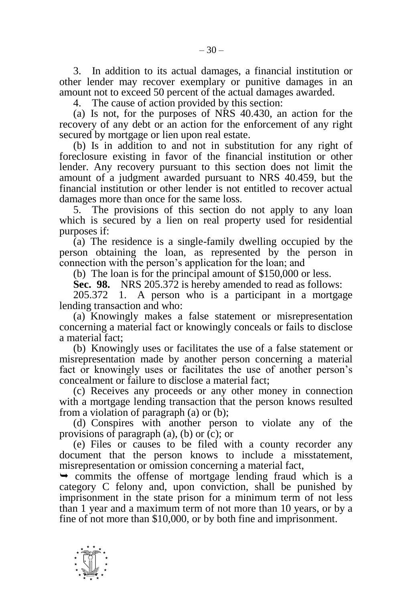3. In addition to its actual damages, a financial institution or other lender may recover exemplary or punitive damages in an amount not to exceed 50 percent of the actual damages awarded.

4. The cause of action provided by this section:

(a) Is not, for the purposes of NRS 40.430, an action for the recovery of any debt or an action for the enforcement of any right secured by mortgage or lien upon real estate.

(b) Is in addition to and not in substitution for any right of foreclosure existing in favor of the financial institution or other lender. Any recovery pursuant to this section does not limit the amount of a judgment awarded pursuant to NRS 40.459, but the financial institution or other lender is not entitled to recover actual damages more than once for the same loss.

5. The provisions of this section do not apply to any loan which is secured by a lien on real property used for residential purposes if:

(a) The residence is a single-family dwelling occupied by the person obtaining the loan, as represented by the person in connection with the person's application for the loan; and

(b) The loan is for the principal amount of \$150,000 or less.

**Sec. 98.** NRS 205.372 is hereby amended to read as follows:

205.372 1. A person who is a participant in a mortgage lending transaction and who:

(a) Knowingly makes a false statement or misrepresentation concerning a material fact or knowingly conceals or fails to disclose a material fact;

(b) Knowingly uses or facilitates the use of a false statement or misrepresentation made by another person concerning a material fact or knowingly uses or facilitates the use of another person's concealment or failure to disclose a material fact;

(c) Receives any proceeds or any other money in connection with a mortgage lending transaction that the person knows resulted from a violation of paragraph (a) or (b);

(d) Conspires with another person to violate any of the provisions of paragraph (a), (b) or (c); or

(e) Files or causes to be filed with a county recorder any document that the person knows to include a misstatement, misrepresentation or omission concerning a material fact,

 $\rightarrow$  commits the offense of mortgage lending fraud which is a category C felony and, upon conviction, shall be punished by imprisonment in the state prison for a minimum term of not less than 1 year and a maximum term of not more than 10 years, or by a fine of not more than \$10,000, or by both fine and imprisonment.

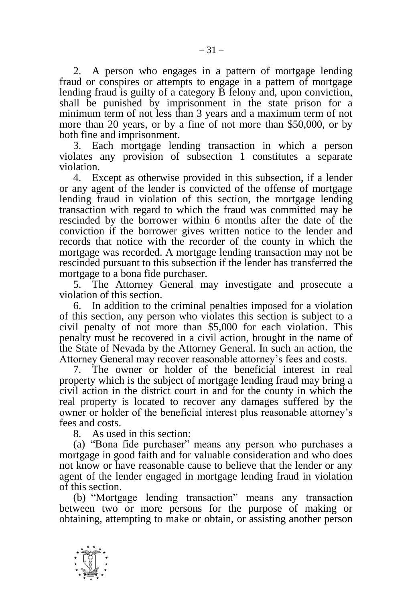2. A person who engages in a pattern of mortgage lending fraud or conspires or attempts to engage in a pattern of mortgage lending fraud is guilty of a category B felony and, upon conviction, shall be punished by imprisonment in the state prison for a minimum term of not less than 3 years and a maximum term of not more than 20 years, or by a fine of not more than \$50,000, or by both fine and imprisonment.

3. Each mortgage lending transaction in which a person violates any provision of subsection 1 constitutes a separate violation.

4. Except as otherwise provided in this subsection, if a lender or any agent of the lender is convicted of the offense of mortgage lending fraud in violation of this section, the mortgage lending transaction with regard to which the fraud was committed may be rescinded by the borrower within 6 months after the date of the conviction if the borrower gives written notice to the lender and records that notice with the recorder of the county in which the mortgage was recorded. A mortgage lending transaction may not be rescinded pursuant to this subsection if the lender has transferred the mortgage to a bona fide purchaser.

5. The Attorney General may investigate and prosecute a violation of this section.

6. In addition to the criminal penalties imposed for a violation of this section, any person who violates this section is subject to a civil penalty of not more than \$5,000 for each violation. This penalty must be recovered in a civil action, brought in the name of the State of Nevada by the Attorney General. In such an action, the Attorney General may recover reasonable attorney's fees and costs.

7. The owner or holder of the beneficial interest in real property which is the subject of mortgage lending fraud may bring a civil action in the district court in and for the county in which the real property is located to recover any damages suffered by the owner or holder of the beneficial interest plus reasonable attorney's fees and costs.

8. As used in this section:

-

(a) "Bona fide purchaser" means any person who purchases a mortgage in good faith and for valuable consideration and who does not know or have reasonable cause to believe that the lender or any agent of the lender engaged in mortgage lending fraud in violation of this section.

(b) "Mortgage lending transaction" means any transaction between two or more persons for the purpose of making or obtaining, attempting to make or obtain, or assisting another person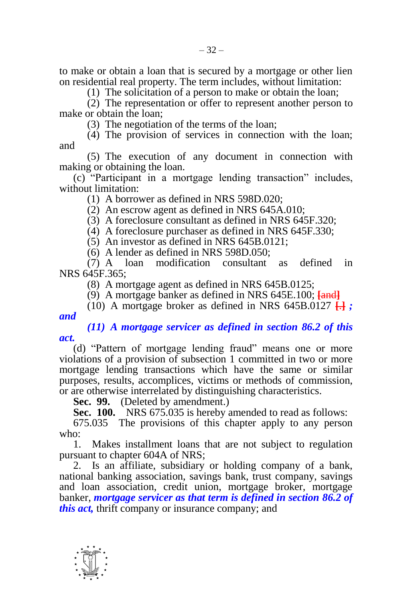to make or obtain a loan that is secured by a mortgage or other lien on residential real property. The term includes, without limitation:

(1) The solicitation of a person to make or obtain the loan;

(2) The representation or offer to represent another person to make or obtain the loan;

(3) The negotiation of the terms of the loan;

(4) The provision of services in connection with the loan; and

(5) The execution of any document in connection with making or obtaining the loan.

(c) "Participant in a mortgage lending transaction" includes, without limitation:

(1) A borrower as defined in NRS 598D.020;

(2) An escrow agent as defined in NRS 645A.010;

(3) A foreclosure consultant as defined in NRS 645F.320;

(4) A foreclosure purchaser as defined in NRS 645F.330;

(5) An investor as defined in NRS 645B.0121;

(6) A lender as defined in NRS 598D.050;

(7) A loan modification consultant as defined in NRS 645F.365;

(8) A mortgage agent as defined in NRS 645B.0125;

(9) A mortgage banker as defined in NRS 645E.100; **[**and**]**

(10) A mortgage broker as defined in NRS 645B.0127  $\Box$ ;

*and*

*(11) A mortgage servicer as defined in section 86.2 of this act.*

(d) "Pattern of mortgage lending fraud" means one or more violations of a provision of subsection 1 committed in two or more mortgage lending transactions which have the same or similar purposes, results, accomplices, victims or methods of commission, or are otherwise interrelated by distinguishing characteristics.

**Sec. 99.** (Deleted by amendment.)

**Sec. 100.** NRS 675.035 is hereby amended to read as follows:

675.035 The provisions of this chapter apply to any person who:

1. Makes installment loans that are not subject to regulation pursuant to chapter 604A of NRS;

2. Is an affiliate, subsidiary or holding company of a bank, national banking association, savings bank, trust company, savings and loan association, credit union, mortgage broker, mortgage banker, *mortgage servicer as that term is defined in section 86.2 of this act,* thrift company or insurance company; and

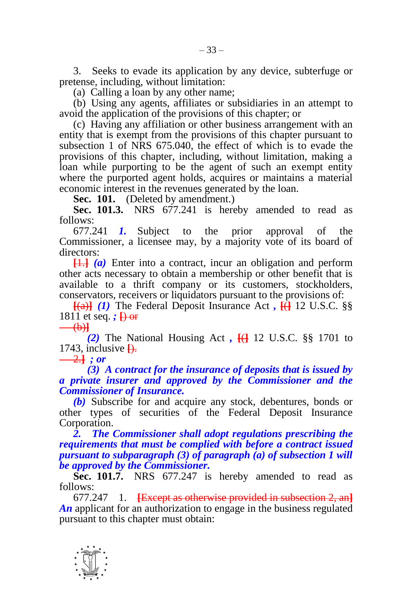3. Seeks to evade its application by any device, subterfuge or pretense, including, without limitation:

(a) Calling a loan by any other name;

(b) Using any agents, affiliates or subsidiaries in an attempt to avoid the application of the provisions of this chapter; or

(c) Having any affiliation or other business arrangement with an entity that is exempt from the provisions of this chapter pursuant to subsection 1 of NRS 675.040, the effect of which is to evade the provisions of this chapter, including, without limitation, making a loan while purporting to be the agent of such an exempt entity where the purported agent holds, acquires or maintains a material economic interest in the revenues generated by the loan.

**Sec. 101.** (Deleted by amendment.)

**Sec. 101.3.** NRS 677.241 is hereby amended to read as follows:

677.241 *1.* Subject to the prior approval of the Commissioner, a licensee may, by a majority vote of its board of directors:

**[**1.**]** *(a)* Enter into a contract, incur an obligation and perform other acts necessary to obtain a membership or other benefit that is available to a thrift company or its customers, stockholders, conservators, receivers or liquidators pursuant to the provisions of:

**[**(a)**]** *(1)* The Federal Deposit Insurance Act *,* **[**(**]** 12 U.S.C. §§ 1811 et seq. *;* **[**) or (b)**]**

*(2)* The National Housing Act *,* **[**(**]** 12 U.S.C. §§ 1701 to 1743, inclusive **[**).

 $\frac{-2.1}{2}$  *; or* 

*(3) A contract for the insurance of deposits that is issued by a private insurer and approved by the Commissioner and the Commissioner of Insurance.*

*(b)* Subscribe for and acquire any stock, debentures, bonds or other types of securities of the Federal Deposit Insurance Corporation.

*2. The Commissioner shall adopt regulations prescribing the requirements that must be complied with before a contract issued pursuant to subparagraph (3) of paragraph (a) of subsection 1 will be approved by the Commissioner.*

**Sec. 101.7.** NRS 677.247 is hereby amended to read as follows:

677.247 1. **[**Except as otherwise provided in subsection 2, an**]** An applicant for an authorization to engage in the business regulated pursuant to this chapter must obtain: